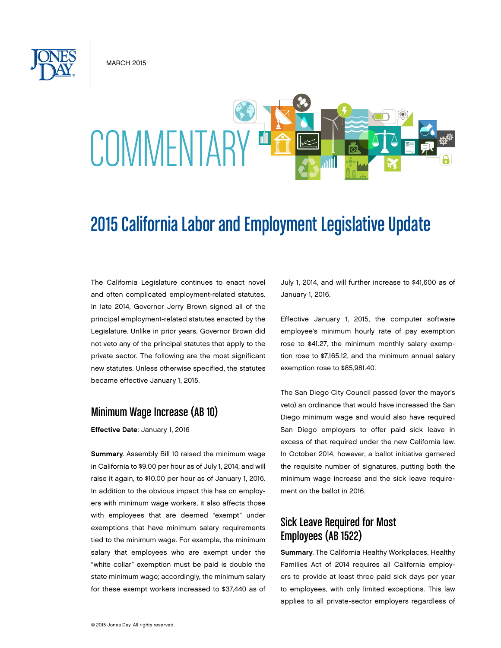**MARCH 2015** 



# 2015 California Labor and Employment Legislative Update

The California Legislature continues to enact novel and often complicated employment-related statutes. In late 2014, Governor Jerry Brown signed all of the principal employment-related statutes enacted by the Legislature. Unlike in prior years, Governor Brown did not veto any of the principal statutes that apply to the private sector. The following are the most significant new statutes. Unless otherwise specified, the statutes became effective January 1, 2015.

#### Minimum Wage Increase (AB 10)

Effective Date: January 1, 2016

Summary. Assembly Bill 10 raised the minimum wage in California to \$9.00 per hour as of July 1, 2014, and will raise it again, to \$10.00 per hour as of January 1, 2016. In addition to the obvious impact this has on employers with minimum wage workers, it also affects those with employees that are deemed "exempt" under exemptions that have minimum salary requirements tied to the minimum wage. For example, the minimum salary that employees who are exempt under the "white collar" exemption must be paid is double the state minimum wage; accordingly, the minimum salary for these exempt workers increased to \$37,440 as of

July 1, 2014, and will further increase to \$41,600 as of January 1, 2016.

Effective January 1, 2015, the computer software employee's minimum hourly rate of pay exemption rose to \$41.27, the minimum monthly salary exemption rose to \$7,165.12, and the minimum annual salary exemption rose to \$85,981.40.

The San Diego City Council passed (over the mayor's veto) an ordinance that would have increased the San Diego minimum wage and would also have required San Diego employers to offer paid sick leave in excess of that required under the new California law. In October 2014, however, a ballot initiative garnered the requisite number of signatures, putting both the minimum wage increase and the sick leave requirement on the ballot in 2016.

## Sick Leave Required for Most Employees (AB 1522)

Summary. The California Healthy Workplaces, Healthy Families Act of 2014 requires all California employers to provide at least three paid sick days per year to employees, with only limited exceptions. This law applies to all private-sector employers regardless of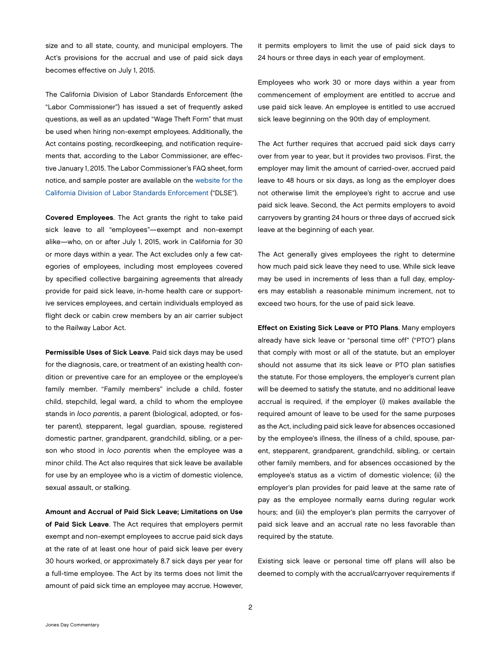size and to all state, county, and municipal employers. The Act's provisions for the accrual and use of paid sick days becomes effective on July 1, 2015.

The California Division of Labor Standards Enforcement (the "Labor Commissioner") has issued a set of frequently asked questions, as well as an updated "Wage Theft Form" that must be used when hiring non-exempt employees. Additionally, the Act contains posting, recordkeeping, and notification requirements that, according to the Labor Commissioner, are effective January 1, 2015. The Labor Commissioner's FAQ sheet, form notice, and sample poster are available on the [website for the](http://www.dir.ca.gov/dlse/ab1522.html)  [California Division of Labor Standards Enforcement](http://www.dir.ca.gov/dlse/ab1522.html) ("DLSE").

Covered Employees. The Act grants the right to take paid sick leave to all "employees"—exempt and non-exempt alike—who, on or after July 1, 2015, work in California for 30 or more days within a year. The Act excludes only a few categories of employees, including most employees covered by specified collective bargaining agreements that already provide for paid sick leave, in-home health care or supportive services employees, and certain individuals employed as flight deck or cabin crew members by an air carrier subject to the Railway Labor Act.

Permissible Uses of Sick Leave. Paid sick days may be used for the diagnosis, care, or treatment of an existing health condition or preventive care for an employee or the employee's family member. "Family members" include a child, foster child, stepchild, legal ward, a child to whom the employee stands in *loco parentis*, a parent (biological, adopted, or foster parent), stepparent, legal guardian, spouse, registered domestic partner, grandparent, grandchild, sibling, or a person who stood in *loco parentis* when the employee was a minor child. The Act also requires that sick leave be available for use by an employee who is a victim of domestic violence, sexual assault, or stalking.

Amount and Accrual of Paid Sick Leave; Limitations on Use of Paid Sick Leave. The Act requires that employers permit exempt and non-exempt employees to accrue paid sick days at the rate of at least one hour of paid sick leave per every 30 hours worked, or approximately 8.7 sick days per year for a full-time employee. The Act by its terms does not limit the amount of paid sick time an employee may accrue. However,

it permits employers to limit the use of paid sick days to 24 hours or three days in each year of employment.

Employees who work 30 or more days within a year from commencement of employment are entitled to accrue and use paid sick leave. An employee is entitled to use accrued sick leave beginning on the 90th day of employment.

The Act further requires that accrued paid sick days carry over from year to year, but it provides two provisos. First, the employer may limit the amount of carried-over, accrued paid leave to 48 hours or six days, as long as the employer does not otherwise limit the employee's right to accrue and use paid sick leave. Second, the Act permits employers to avoid carryovers by granting 24 hours or three days of accrued sick leave at the beginning of each year.

The Act generally gives employees the right to determine how much paid sick leave they need to use. While sick leave may be used in increments of less than a full day, employers may establish a reasonable minimum increment, not to exceed two hours, for the use of paid sick leave.

Effect on Existing Sick Leave or PTO Plans. Many employers already have sick leave or "personal time off" ("PTO") plans that comply with most or all of the statute, but an employer should not assume that its sick leave or PTO plan satisfies the statute. For those employers, the employer's current plan will be deemed to satisfy the statute, and no additional leave accrual is required, if the employer (i) makes available the required amount of leave to be used for the same purposes as the Act, including paid sick leave for absences occasioned by the employee's illness, the illness of a child, spouse, parent, stepparent, grandparent, grandchild, sibling, or certain other family members, and for absences occasioned by the employee's status as a victim of domestic violence; (ii) the employer's plan provides for paid leave at the same rate of pay as the employee normally earns during regular work hours; and (iii) the employer's plan permits the carryover of paid sick leave and an accrual rate no less favorable than required by the statute.

Existing sick leave or personal time off plans will also be deemed to comply with the accrual/carryover requirements if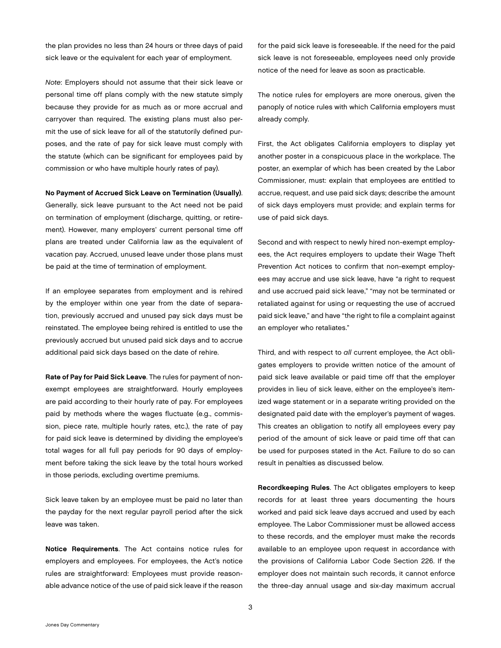the plan provides no less than 24 hours or three days of paid sick leave or the equivalent for each year of employment.

*Note*: Employers should not assume that their sick leave or personal time off plans comply with the new statute simply because they provide for as much as or more accrual and carryover than required. The existing plans must also permit the use of sick leave for all of the statutorily defined purposes, and the rate of pay for sick leave must comply with the statute (which can be significant for employees paid by commission or who have multiple hourly rates of pay).

No Payment of Accrued Sick Leave on Termination (Usually).

Generally, sick leave pursuant to the Act need not be paid on termination of employment (discharge, quitting, or retirement). However, many employers' current personal time off plans are treated under California law as the equivalent of vacation pay. Accrued, unused leave under those plans must be paid at the time of termination of employment.

If an employee separates from employment and is rehired by the employer within one year from the date of separation, previously accrued and unused pay sick days must be reinstated. The employee being rehired is entitled to use the previously accrued but unused paid sick days and to accrue additional paid sick days based on the date of rehire.

Rate of Pay for Paid Sick Leave. The rules for payment of nonexempt employees are straightforward. Hourly employees are paid according to their hourly rate of pay. For employees paid by methods where the wages fluctuate (e.g., commission, piece rate, multiple hourly rates, etc.), the rate of pay for paid sick leave is determined by dividing the employee's total wages for all full pay periods for 90 days of employment before taking the sick leave by the total hours worked in those periods, excluding overtime premiums.

Sick leave taken by an employee must be paid no later than the payday for the next regular payroll period after the sick leave was taken.

Notice Requirements. The Act contains notice rules for employers and employees. For employees, the Act's notice rules are straightforward: Employees must provide reasonable advance notice of the use of paid sick leave if the reason for the paid sick leave is foreseeable. If the need for the paid sick leave is not foreseeable, employees need only provide notice of the need for leave as soon as practicable.

The notice rules for employers are more onerous, given the panoply of notice rules with which California employers must already comply.

First, the Act obligates California employers to display yet another poster in a conspicuous place in the workplace. The poster, an exemplar of which has been created by the Labor Commissioner, must: explain that employees are entitled to accrue, request, and use paid sick days; describe the amount of sick days employers must provide; and explain terms for use of paid sick days.

Second and with respect to newly hired non-exempt employees, the Act requires employers to update their Wage Theft Prevention Act notices to confirm that non-exempt employees may accrue and use sick leave, have "a right to request and use accrued paid sick leave," "may not be terminated or retaliated against for using or requesting the use of accrued paid sick leave," and have "the right to file a complaint against an employer who retaliates."

Third, and with respect to *all* current employee, the Act obligates employers to provide written notice of the amount of paid sick leave available or paid time off that the employer provides in lieu of sick leave, either on the employee's itemized wage statement or in a separate writing provided on the designated paid date with the employer's payment of wages. This creates an obligation to notify all employees every pay period of the amount of sick leave or paid time off that can be used for purposes stated in the Act. Failure to do so can result in penalties as discussed below.

Recordkeeping Rules. The Act obligates employers to keep records for at least three years documenting the hours worked and paid sick leave days accrued and used by each employee. The Labor Commissioner must be allowed access to these records, and the employer must make the records available to an employee upon request in accordance with the provisions of California Labor Code Section 226. If the employer does not maintain such records, it cannot enforce the three-day annual usage and six-day maximum accrual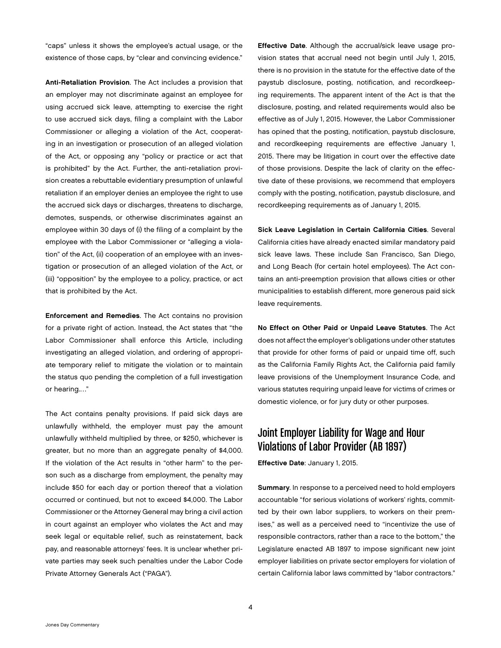"caps" unless it shows the employee's actual usage, or the existence of those caps, by "clear and convincing evidence."

Anti-Retaliation Provision. The Act includes a provision that an employer may not discriminate against an employee for using accrued sick leave, attempting to exercise the right to use accrued sick days, filing a complaint with the Labor Commissioner or alleging a violation of the Act, cooperating in an investigation or prosecution of an alleged violation of the Act, or opposing any "policy or practice or act that is prohibited" by the Act. Further, the anti-retaliation provision creates a rebuttable evidentiary presumption of unlawful retaliation if an employer denies an employee the right to use the accrued sick days or discharges, threatens to discharge, demotes, suspends, or otherwise discriminates against an employee within 30 days of (i) the filing of a complaint by the employee with the Labor Commissioner or "alleging a violation" of the Act, (ii) cooperation of an employee with an investigation or prosecution of an alleged violation of the Act, or (iii) "opposition" by the employee to a policy, practice, or act that is prohibited by the Act.

Enforcement and Remedies. The Act contains no provision for a private right of action. Instead, the Act states that "the Labor Commissioner shall enforce this Article, including investigating an alleged violation, and ordering of appropriate temporary relief to mitigate the violation or to maintain the status quo pending the completion of a full investigation or hearing.…"

The Act contains penalty provisions. If paid sick days are unlawfully withheld, the employer must pay the amount unlawfully withheld multiplied by three, or \$250, whichever is greater, but no more than an aggregate penalty of \$4,000. If the violation of the Act results in "other harm" to the person such as a discharge from employment, the penalty may include \$50 for each day or portion thereof that a violation occurred or continued, but not to exceed \$4,000. The Labor Commissioner or the Attorney General may bring a civil action in court against an employer who violates the Act and may seek legal or equitable relief, such as reinstatement, back pay, and reasonable attorneys' fees. It is unclear whether private parties may seek such penalties under the Labor Code Private Attorney Generals Act ("PAGA").

Effective Date. Although the accrual/sick leave usage provision states that accrual need not begin until July 1, 2015, there is no provision in the statute for the effective date of the paystub disclosure, posting, notification, and recordkeeping requirements. The apparent intent of the Act is that the disclosure, posting, and related requirements would also be effective as of July 1, 2015. However, the Labor Commissioner has opined that the posting, notification, paystub disclosure, and recordkeeping requirements are effective January 1, 2015. There may be litigation in court over the effective date of those provisions. Despite the lack of clarity on the effective date of these provisions, we recommend that employers comply with the posting, notification, paystub disclosure, and recordkeeping requirements as of January 1, 2015.

Sick Leave Legislation in Certain California Cities. Several California cities have already enacted similar mandatory paid sick leave laws. These include San Francisco, San Diego, and Long Beach (for certain hotel employees). The Act contains an anti-preemption provision that allows cities or other municipalities to establish different, more generous paid sick leave requirements.

No Effect on Other Paid or Unpaid Leave Statutes. The Act does not affect the employer's obligations under other statutes that provide for other forms of paid or unpaid time off, such as the California Family Rights Act, the California paid family leave provisions of the Unemployment Insurance Code, and various statutes requiring unpaid leave for victims of crimes or domestic violence, or for jury duty or other purposes.

## Joint Employer Liability for Wage and Hour Violations of Labor Provider (AB 1897)

Effective Date: January 1, 2015.

Summary. In response to a perceived need to hold employers accountable "for serious violations of workers' rights, committed by their own labor suppliers, to workers on their premises," as well as a perceived need to "incentivize the use of responsible contractors, rather than a race to the bottom," the Legislature enacted AB 1897 to impose significant new joint employer liabilities on private sector employers for violation of certain California labor laws committed by "labor contractors."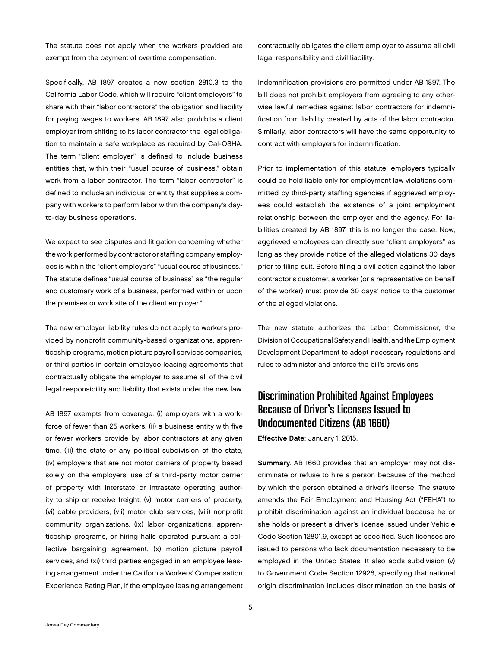The statute does not apply when the workers provided are exempt from the payment of overtime compensation.

Specifically, AB 1897 creates a new section 2810.3 to the California Labor Code, which will require "client employers" to share with their "labor contractors" the obligation and liability for paying wages to workers. AB 1897 also prohibits a client employer from shifting to its labor contractor the legal obligation to maintain a safe workplace as required by Cal-OSHA. The term "client employer" is defined to include business entities that, within their "usual course of business," obtain work from a labor contractor. The term "labor contractor" is defined to include an individual or entity that supplies a company with workers to perform labor within the company's dayto-day business operations.

We expect to see disputes and litigation concerning whether the work performed by contractor or staffing company employees is within the "client employer's" "usual course of business." The statute defines "usual course of business" as "the regular and customary work of a business, performed within or upon the premises or work site of the client employer."

The new employer liability rules do not apply to workers provided by nonprofit community-based organizations, apprenticeship programs, motion picture payroll services companies, or third parties in certain employee leasing agreements that contractually obligate the employer to assume all of the civil legal responsibility and liability that exists under the new law.

AB 1897 exempts from coverage: (i) employers with a workforce of fewer than 25 workers, (ii) a business entity with five or fewer workers provide by labor contractors at any given time, (iii) the state or any political subdivision of the state, (iv) employers that are not motor carriers of property based solely on the employers' use of a third-party motor carrier of property with interstate or intrastate operating authority to ship or receive freight, (v) motor carriers of property, (vi) cable providers, (vii) motor club services, (viii) nonprofit community organizations, (ix) labor organizations, apprenticeship programs, or hiring halls operated pursuant a collective bargaining agreement, (x) motion picture payroll services, and (xi) third parties engaged in an employee leasing arrangement under the California Workers' Compensation Experience Rating Plan, if the employee leasing arrangement

contractually obligates the client employer to assume all civil legal responsibility and civil liability.

Indemnification provisions are permitted under AB 1897. The bill does not prohibit employers from agreeing to any otherwise lawful remedies against labor contractors for indemnification from liability created by acts of the labor contractor. Similarly, labor contractors will have the same opportunity to contract with employers for indemnification.

Prior to implementation of this statute, employers typically could be held liable only for employment law violations committed by third-party staffing agencies if aggrieved employees could establish the existence of a joint employment relationship between the employer and the agency. For liabilities created by AB 1897, this is no longer the case. Now, aggrieved employees can directly sue "client employers" as long as they provide notice of the alleged violations 30 days prior to filing suit. Before filing a civil action against the labor contractor's customer, a worker (or a representative on behalf of the worker) must provide 30 days' notice to the customer of the alleged violations.

The new statute authorizes the Labor Commissioner, the Division of Occupational Safety and Health, and the Employment Development Department to adopt necessary regulations and rules to administer and enforce the bill's provisions.

## Discrimination Prohibited Against Employees Because of Driver's Licenses Issued to Undocumented Citizens (AB 1660)

Effective Date: January 1, 2015.

Summary. AB 1660 provides that an employer may not discriminate or refuse to hire a person because of the method by which the person obtained a driver's license. The statute amends the Fair Employment and Housing Act ("FEHA") to prohibit discrimination against an individual because he or she holds or present a driver's license issued under Vehicle Code Section 12801.9, except as specified. Such licenses are issued to persons who lack documentation necessary to be employed in the United States. It also adds subdivision (v) to Government Code Section 12926, specifying that national origin discrimination includes discrimination on the basis of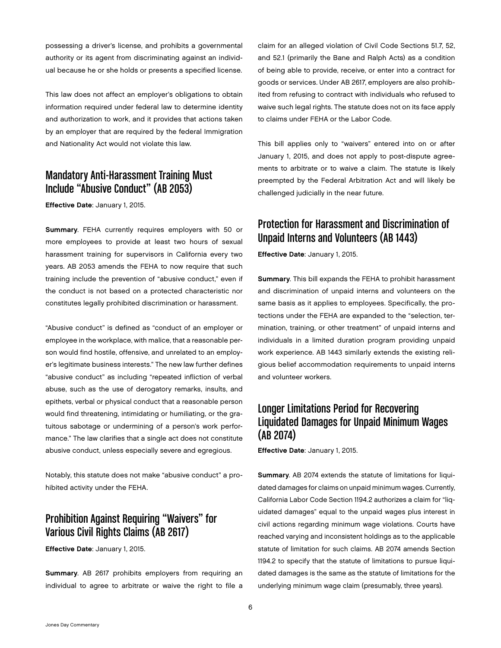possessing a driver's license, and prohibits a governmental authority or its agent from discriminating against an individual because he or she holds or presents a specified license.

This law does not affect an employer's obligations to obtain information required under federal law to determine identity and authorization to work, and it provides that actions taken by an employer that are required by the federal Immigration and Nationality Act would not violate this law.

#### Mandatory Anti-Harassment Training Must Include "Abusive Conduct" (AB 2053)

Effective Date: January 1, 2015.

Summary. FEHA currently requires employers with 50 or more employees to provide at least two hours of sexual harassment training for supervisors in California every two years. AB 2053 amends the FEHA to now require that such training include the prevention of "abusive conduct," even if the conduct is not based on a protected characteristic nor constitutes legally prohibited discrimination or harassment.

"Abusive conduct" is defined as "conduct of an employer or employee in the workplace, with malice, that a reasonable person would find hostile, offensive, and unrelated to an employer's legitimate business interests." The new law further defines "abusive conduct" as including "repeated infliction of verbal abuse, such as the use of derogatory remarks, insults, and epithets, verbal or physical conduct that a reasonable person would find threatening, intimidating or humiliating, or the gratuitous sabotage or undermining of a person's work performance." The law clarifies that a single act does not constitute abusive conduct, unless especially severe and egregious.

Notably, this statute does not make "abusive conduct" a prohibited activity under the FEHA.

# Prohibition Against Requiring "Waivers" for Various Civil Rights Claims (AB 2617)

Effective Date: January 1, 2015.

Summary. AB 2617 prohibits employers from requiring an individual to agree to arbitrate or waive the right to file a claim for an alleged violation of Civil Code Sections 51.7, 52, and 52.1 (primarily the Bane and Ralph Acts) as a condition of being able to provide, receive, or enter into a contract for goods or services. Under AB 2617, employers are also prohibited from refusing to contract with individuals who refused to waive such legal rights. The statute does not on its face apply to claims under FEHA or the Labor Code.

This bill applies only to "waivers" entered into on or after January 1, 2015, and does not apply to post-dispute agreements to arbitrate or to waive a claim. The statute is likely preempted by the Federal Arbitration Act and will likely be challenged judicially in the near future.

#### Protection for Harassment and Discrimination of Unpaid Interns and Volunteers (AB 1443)

Effective Date: January 1, 2015.

Summary. This bill expands the FEHA to prohibit harassment and discrimination of unpaid interns and volunteers on the same basis as it applies to employees. Specifically, the protections under the FEHA are expanded to the "selection, termination, training, or other treatment" of unpaid interns and individuals in a limited duration program providing unpaid work experience. AB 1443 similarly extends the existing religious belief accommodation requirements to unpaid interns and volunteer workers.

# Longer Limitations Period for Recovering Liquidated Damages for Unpaid Minimum Wages (AB 2074)

Effective Date: January 1, 2015.

Summary. AB 2074 extends the statute of limitations for liquidated damages for claims on unpaid minimum wages. Currently, California Labor Code Section 1194.2 authorizes a claim for "liquidated damages" equal to the unpaid wages plus interest in civil actions regarding minimum wage violations. Courts have reached varying and inconsistent holdings as to the applicable statute of limitation for such claims. AB 2074 amends Section 1194.2 to specify that the statute of limitations to pursue liquidated damages is the same as the statute of limitations for the underlying minimum wage claim (presumably, three years).